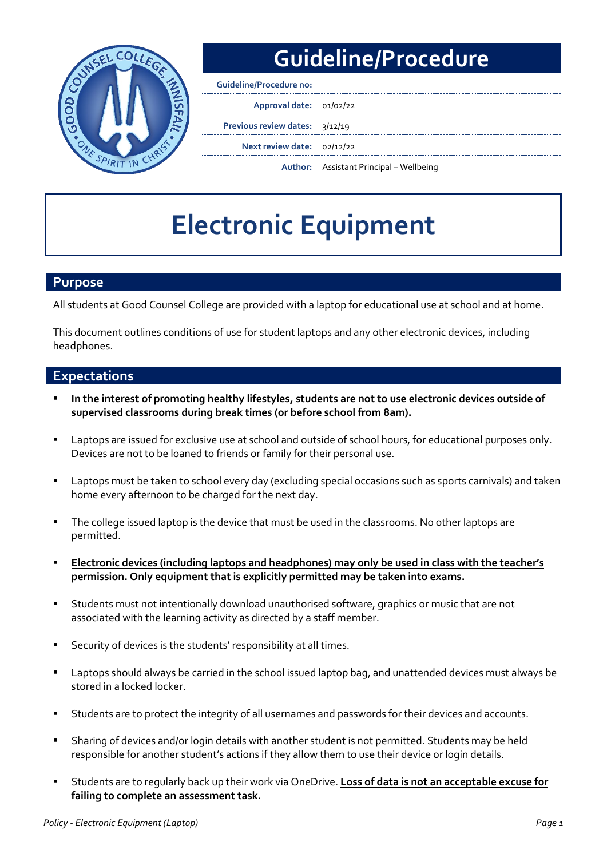

# **Guideline/Procedure**

| <b>Guideline/Procedure no:</b> |                                                |
|--------------------------------|------------------------------------------------|
| Approval date: 01/02/22        |                                                |
| Previous review dates: 3/12/19 |                                                |
| Next review date: 02/12/22     |                                                |
|                                | <b>Author:</b> Assistant Principal – Wellbeing |

# **Electronic Equipment**

#### **Purpose**

All students at Good Counsel College are provided with a laptop for educational use at school and at home.

This document outlines conditions of use for student laptops and any other electronic devices, including headphones.

### **Expectations**

- **In the interest of promoting healthy lifestyles, students are not to use electronic devices outside of supervised classrooms during break times (or before school from 8am).**
- **E** Laptops are issued for exclusive use at school and outside of school hours, for educational purposes only. Devices are not to be loaned to friends or family for their personal use.
- Laptops must be taken to school every day (excluding special occasions such as sports carnivals) and taken home every afternoon to be charged for the next day.
- The college issued laptop is the device that must be used in the classrooms. No other laptops are permitted.
- **Electronic devices (including laptops and headphones) may only be used in class with the teacher's permission. Only equipment that is explicitly permitted may be taken into exams.**
- Students must not intentionally download unauthorised software, graphics or music that are not associated with the learning activity as directed by a staff member.
- Security of devices is the students' responsibility at all times.
- Laptops should always be carried in the school issued laptop bag, and unattended devices must always be stored in a locked locker.
- Students are to protect the integrity of all usernames and passwords for their devices and accounts.
- Sharing of devices and/or login details with another student is not permitted. Students may be held responsible for another student's actions if they allow them to use their device or login details.
- Students are to regularly back up their work via OneDrive. **Loss of data is not an acceptable excuse for failing to complete an assessment task.**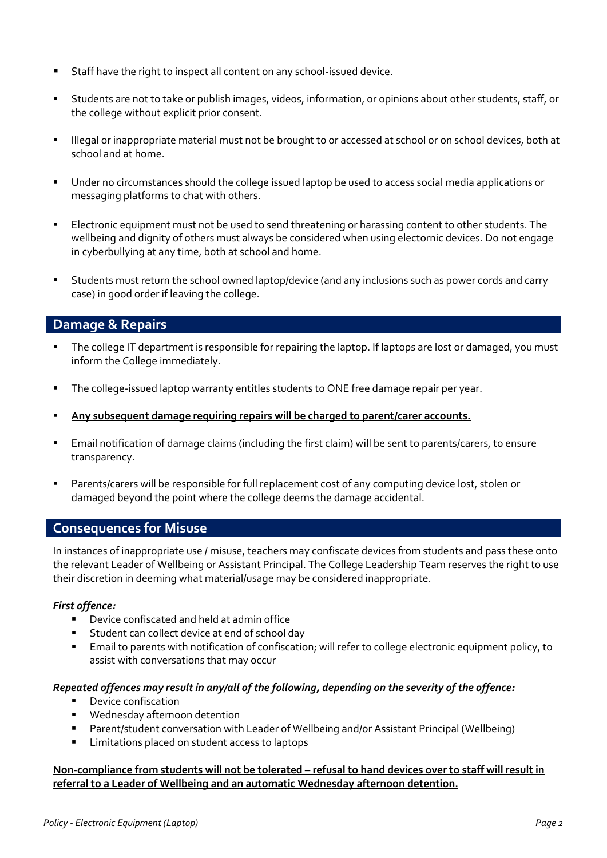- Staff have the right to inspect all content on any school-issued device.
- Students are not to take or publish images, videos, information, or opinions about other students, staff, or the college without explicit prior consent.
- Illegal or inappropriate material must not be brought to or accessed at school or on school devices, both at school and at home.
- Under no circumstances should the college issued laptop be used to access social media applications or messaging platforms to chat with others.
- Electronic equipment must not be used to send threatening or harassing content to other students. The wellbeing and dignity of others must always be considered when using electornic devices. Do not engage in cyberbullying at any time, both at school and home.
- Students must return the school owned laptop/device (and any inclusions such as power cords and carry case) in good order if leaving the college.

## **Damage & Repairs**

- The college IT department is responsible for repairing the laptop. If laptops are lost or damaged, you must inform the College immediately.
- The college-issued laptop warranty entitles students to ONE free damage repair per year.
- **Any subsequent damage requiring repairs will be charged to parent/carer accounts.**
- Email notification of damage claims (including the first claim) will be sent to parents/carers, to ensure transparency.
- Parents/carers will be responsible for full replacement cost of any computing device lost, stolen or damaged beyond the point where the college deems the damage accidental.

#### **Consequences for Misuse**

In instances of inappropriate use / misuse, teachers may confiscate devices from students and pass these onto the relevant Leader of Wellbeing or Assistant Principal. The College Leadership Team reserves the right to use their discretion in deeming what material/usage may be considered inappropriate.

#### *First offence:*

- Device confiscated and held at admin office
- Student can collect device at end of school day
- Email to parents with notification of confiscation; will refer to college electronic equipment policy, to assist with conversations that may occur

#### *Repeated offences may result in any/all of the following, depending on the severity of the offence:*

- **•** Device confiscation
- **Wednesday afternoon detention**
- Parent/student conversation with Leader of Wellbeing and/or Assistant Principal (Wellbeing)
- **EXEC** Limitations placed on student access to laptops

#### **Non-compliance from students will not be tolerated – refusal to hand devices over to staff will result in referral to a Leader of Wellbeing and an automatic Wednesday afternoon detention.**